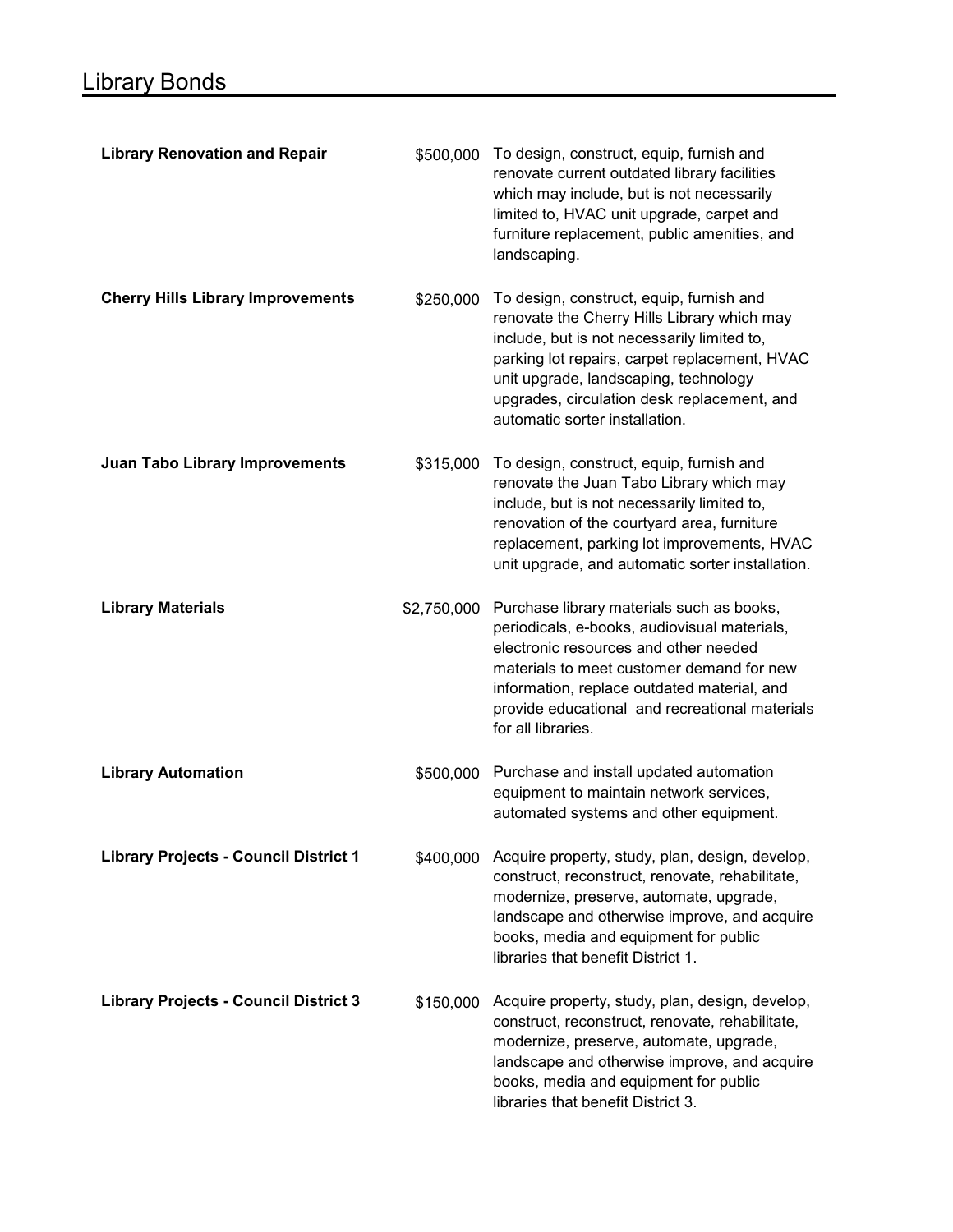| <b>Library Renovation and Repair</b>         | \$500,000   | To design, construct, equip, furnish and<br>renovate current outdated library facilities<br>which may include, but is not necessarily<br>limited to, HVAC unit upgrade, carpet and<br>furniture replacement, public amenities, and<br>landscaping.                                                                |
|----------------------------------------------|-------------|-------------------------------------------------------------------------------------------------------------------------------------------------------------------------------------------------------------------------------------------------------------------------------------------------------------------|
| <b>Cherry Hills Library Improvements</b>     | \$250,000   | To design, construct, equip, furnish and<br>renovate the Cherry Hills Library which may<br>include, but is not necessarily limited to,<br>parking lot repairs, carpet replacement, HVAC<br>unit upgrade, landscaping, technology<br>upgrades, circulation desk replacement, and<br>automatic sorter installation. |
| <b>Juan Tabo Library Improvements</b>        | \$315,000   | To design, construct, equip, furnish and<br>renovate the Juan Tabo Library which may<br>include, but is not necessarily limited to,<br>renovation of the courtyard area, furniture<br>replacement, parking lot improvements, HVAC<br>unit upgrade, and automatic sorter installation.                             |
| <b>Library Materials</b>                     | \$2,750,000 | Purchase library materials such as books,<br>periodicals, e-books, audiovisual materials,<br>electronic resources and other needed<br>materials to meet customer demand for new<br>information, replace outdated material, and<br>provide educational and recreational materials<br>for all libraries.            |
| <b>Library Automation</b>                    | \$500,000   | Purchase and install updated automation<br>equipment to maintain network services,<br>automated systems and other equipment.                                                                                                                                                                                      |
| <b>Library Projects - Council District 1</b> | \$400,000   | Acquire property, study, plan, design, develop,<br>construct, reconstruct, renovate, rehabilitate,<br>modernize, preserve, automate, upgrade,<br>landscape and otherwise improve, and acquire<br>books, media and equipment for public<br>libraries that benefit District 1.                                      |
| <b>Library Projects - Council District 3</b> | \$150,000   | Acquire property, study, plan, design, develop,<br>construct, reconstruct, renovate, rehabilitate,<br>modernize, preserve, automate, upgrade,<br>landscape and otherwise improve, and acquire<br>books, media and equipment for public<br>libraries that benefit District 3.                                      |